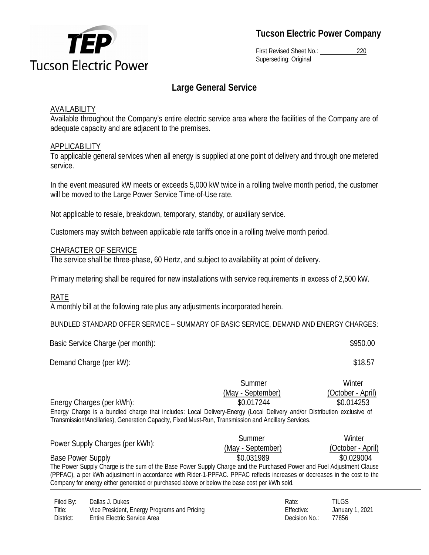

**Tucson Electric Power Company** 

First Revised Sheet No.: 220 Superseding: Original

# **Large General Service**

# AVAILABILITY

Available throughout the Company's entire electric service area where the facilities of the Company are of adequate capacity and are adjacent to the premises.

### **APPLICABILITY**

To applicable general services when all energy is supplied at one point of delivery and through one metered service.

In the event measured kW meets or exceeds 5,000 kW twice in a rolling twelve month period, the customer will be moved to the Large Power Service Time-of-Use rate.

Not applicable to resale, breakdown, temporary, standby, or auxiliary service.

Customers may switch between applicable rate tariffs once in a rolling twelve month period.

### CHARACTER OF SERVICE

The service shall be three-phase, 60 Hertz, and subject to availability at point of delivery.

Primary metering shall be required for new installations with service requirements in excess of 2,500 kW.

### RATE

A monthly bill at the following rate plus any adjustments incorporated herein.

#### BUNDLED STANDARD OFFER SERVICE – SUMMARY OF BASIC SERVICE, DEMAND AND ENERGY CHARGES:

| Basic Service Charge (per month): |        | \$950.00 |
|-----------------------------------|--------|----------|
| Demand Charge (per kW):           |        | \$18.57  |
|                                   | Summer | Winter   |

Energy Charge is a bundled charge that includes: Local Delivery-Energy (Local Delivery and/or Distribution exclusive of Transmission/Ancillaries), Generation Capacity, Fixed Must-Run, Transmission and Ancillary Services. (May - September) (October - April) Energy Charges (per kWh):  $$0.017244$  \$0.014253

| Power Supply Charges (per kWh):                                                                                          | Summer            | Winter            |  |  |  |
|--------------------------------------------------------------------------------------------------------------------------|-------------------|-------------------|--|--|--|
|                                                                                                                          | (May - September) | (October - April) |  |  |  |
| <b>Base Power Supply</b>                                                                                                 | \$0.031989        | \$0.029004        |  |  |  |
| The Power Supply Charge is the sum of the Base Power Supply Charge and the Purchased Power and Fuel Adjustment Clause    |                   |                   |  |  |  |
| (PPFAC), a per kWh adjustment in accordance with Rider-1-PPFAC. PPFAC reflects increases or decreases in the cost to the |                   |                   |  |  |  |
| Company for energy either generated or purchased above or below the base cost per kWh sold.                              |                   |                   |  |  |  |

| Filed By: | Dallas J. Dukes                             | Rate:         | <b>TILGS</b>    |
|-----------|---------------------------------------------|---------------|-----------------|
| Title:    | Vice President, Energy Programs and Pricing | Effective:    | January 1, 2021 |
| District: | <b>Entire Electric Service Area</b>         | Decision No.: | 77856           |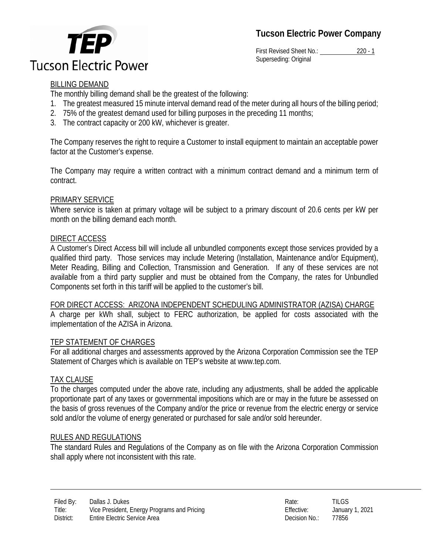# **Tucson Electric Power Company**



First Revised Sheet No.: 220 - 1 Superseding: Original

# BILLING DEMAND

The monthly billing demand shall be the greatest of the following:

- 1. The greatest measured 15 minute interval demand read of the meter during all hours of the billing period;
- 2. 75% of the greatest demand used for billing purposes in the preceding 11 months;
- 3. The contract capacity or 200 kW, whichever is greater.

The Company reserves the right to require a Customer to install equipment to maintain an acceptable power factor at the Customer's expense.

The Company may require a written contract with a minimum contract demand and a minimum term of contract.

# PRIMARY SERVICE

Where service is taken at primary voltage will be subject to a primary discount of 20.6 cents per kW per month on the billing demand each month.

# DIRECT ACCESS

A Customer's Direct Access bill will include all unbundled components except those services provided by a qualified third party. Those services may include Metering (Installation, Maintenance and/or Equipment), Meter Reading, Billing and Collection, Transmission and Generation. If any of these services are not available from a third party supplier and must be obtained from the Company, the rates for Unbundled Components set forth in this tariff will be applied to the customer's bill.

### FOR DIRECT ACCESS: ARIZONA INDEPENDENT SCHEDULING ADMINISTRATOR (AZISA) CHARGE

A charge per kWh shall, subject to FERC authorization, be applied for costs associated with the implementation of the AZISA in Arizona.

### TEP STATEMENT OF CHARGES

For all additional charges and assessments approved by the Arizona Corporation Commission see the TEP Statement of Charges which is available on TEP's website at www.tep.com.

# TAX CLAUSE

To the charges computed under the above rate, including any adjustments, shall be added the applicable proportionate part of any taxes or governmental impositions which are or may in the future be assessed on the basis of gross revenues of the Company and/or the price or revenue from the electric energy or service sold and/or the volume of energy generated or purchased for sale and/or sold hereunder.

### RULES AND REGULATIONS

The standard Rules and Regulations of the Company as on file with the Arizona Corporation Commission shall apply where not inconsistent with this rate.